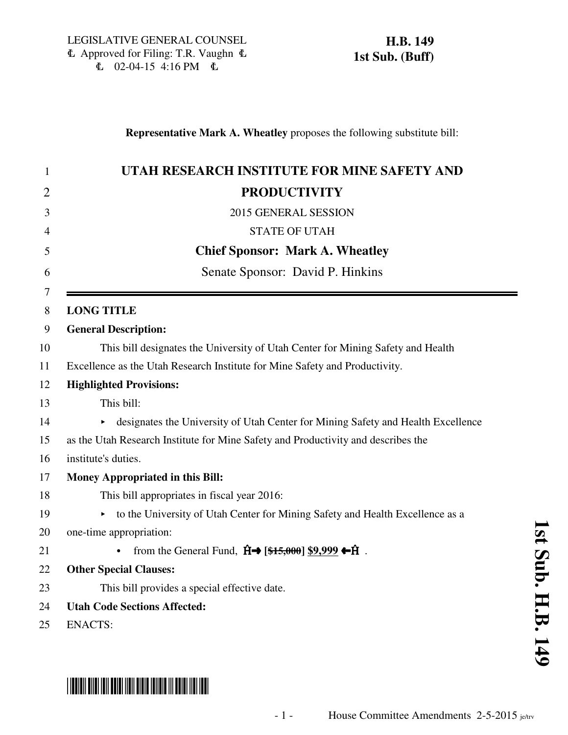|  | UTAH RESEARCH INSTITUTE FOR MINE SAFETY AND                                                                |  |
|--|------------------------------------------------------------------------------------------------------------|--|
|  | <b>PRODUCTIVITY</b>                                                                                        |  |
|  | 2015 GENERAL SESSION                                                                                       |  |
|  | <b>STATE OF UTAH</b>                                                                                       |  |
|  | <b>Chief Sponsor: Mark A. Wheatley</b>                                                                     |  |
|  | Senate Sponsor: David P. Hinkins                                                                           |  |
|  | <b>LONG TITLE</b>                                                                                          |  |
|  | <b>General Description:</b>                                                                                |  |
|  | This bill designates the University of Utah Center for Mining Safety and Health                            |  |
|  | Excellence as the Utah Research Institute for Mine Safety and Productivity.                                |  |
|  | <b>Highlighted Provisions:</b>                                                                             |  |
|  | This bill:                                                                                                 |  |
|  | designates the University of Utah Center for Mining Safety and Health Excellence                           |  |
|  | as the Utah Research Institute for Mine Safety and Productivity and describes the                          |  |
|  | institute's duties.                                                                                        |  |
|  | Money Appropriated in this Bill:                                                                           |  |
|  | This bill appropriates in fiscal year 2016:                                                                |  |
|  | to the University of Utah Center for Mining Safety and Health Excellence as a<br>Þ.                        |  |
|  | one-time appropriation:                                                                                    |  |
|  | from the General Fund, $\hat{H} \rightarrow [\frac{25,000}{3} \ \frac{89,999}{3} \ \hat{H}$ .<br>$\bullet$ |  |
|  | <b>Other Special Clauses:</b>                                                                              |  |
|  | This bill provides a special effective date.                                                               |  |
|  | <b>Utah Code Sections Affected:</b>                                                                        |  |
|  | <b>ENACTS:</b>                                                                                             |  |